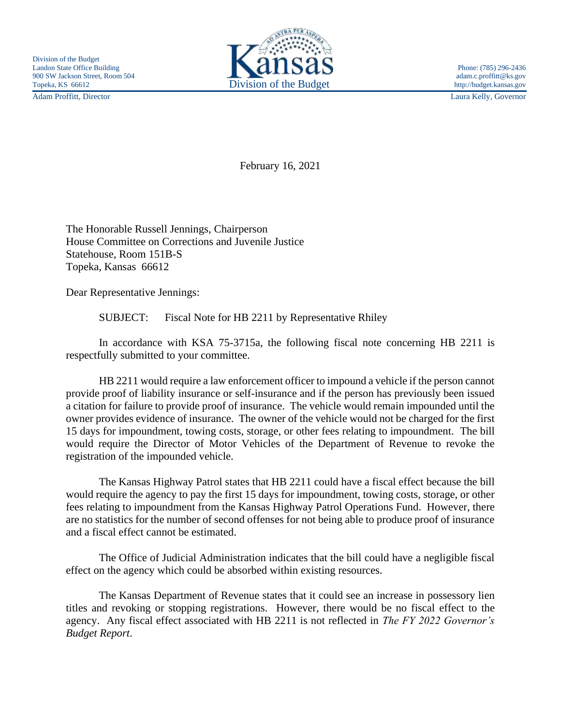Adam Proffitt, Director Laura Kelly, Governor



February 16, 2021

The Honorable Russell Jennings, Chairperson House Committee on Corrections and Juvenile Justice Statehouse, Room 151B-S Topeka, Kansas 66612

Dear Representative Jennings:

SUBJECT: Fiscal Note for HB 2211 by Representative Rhiley

In accordance with KSA 75-3715a, the following fiscal note concerning HB 2211 is respectfully submitted to your committee.

HB 2211 would require a law enforcement officer to impound a vehicle if the person cannot provide proof of liability insurance or self-insurance and if the person has previously been issued a citation for failure to provide proof of insurance. The vehicle would remain impounded until the owner provides evidence of insurance. The owner of the vehicle would not be charged for the first 15 days for impoundment, towing costs, storage, or other fees relating to impoundment. The bill would require the Director of Motor Vehicles of the Department of Revenue to revoke the registration of the impounded vehicle.

The Kansas Highway Patrol states that HB 2211 could have a fiscal effect because the bill would require the agency to pay the first 15 days for impoundment, towing costs, storage, or other fees relating to impoundment from the Kansas Highway Patrol Operations Fund. However, there are no statistics for the number of second offenses for not being able to produce proof of insurance and a fiscal effect cannot be estimated.

The Office of Judicial Administration indicates that the bill could have a negligible fiscal effect on the agency which could be absorbed within existing resources.

The Kansas Department of Revenue states that it could see an increase in possessory lien titles and revoking or stopping registrations. However, there would be no fiscal effect to the agency. Any fiscal effect associated with HB 2211 is not reflected in *The FY 2022 Governor's Budget Report*.